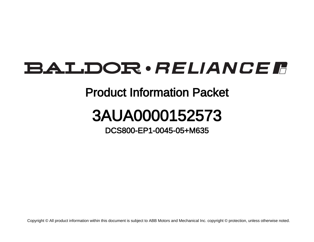## **BALDOR** · RELIANCE F

## Product Information Packet

## 3AUA0000152573

DCS800-EP1-0045-05+M635

Copyright © All product information within this document is subject to ABB Motors and Mechanical Inc. copyright © protection, unless otherwise noted.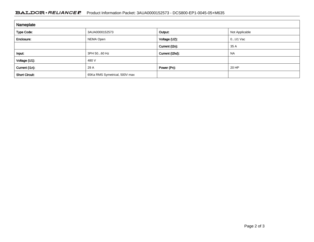## BALDOR · RELIANCE F Product Information Packet: 3AUA0000152573 - DCS800-EP1-0045-05+M635

| Nameplate             |                               |                 |                |
|-----------------------|-------------------------------|-----------------|----------------|
| Type Code:            | 3AUA0000152573                | Output:         | Not Applicable |
| Enclosure:            | NEMA Open                     | Voltage (U2):   | $0$ U1 Vac     |
|                       |                               | Current (I2n):  | 35 A           |
| Input:                | 3PH 5060 Hz                   | Current (I2hd): | <b>NA</b>      |
| Voltage (U1):         | 480 V                         |                 |                |
| Current (I1n):        | 29 A                          | Power (Pn):     | 20 HP          |
| <b>Short Circuit:</b> | 65Ka RMS Symetrical, 500V max |                 |                |